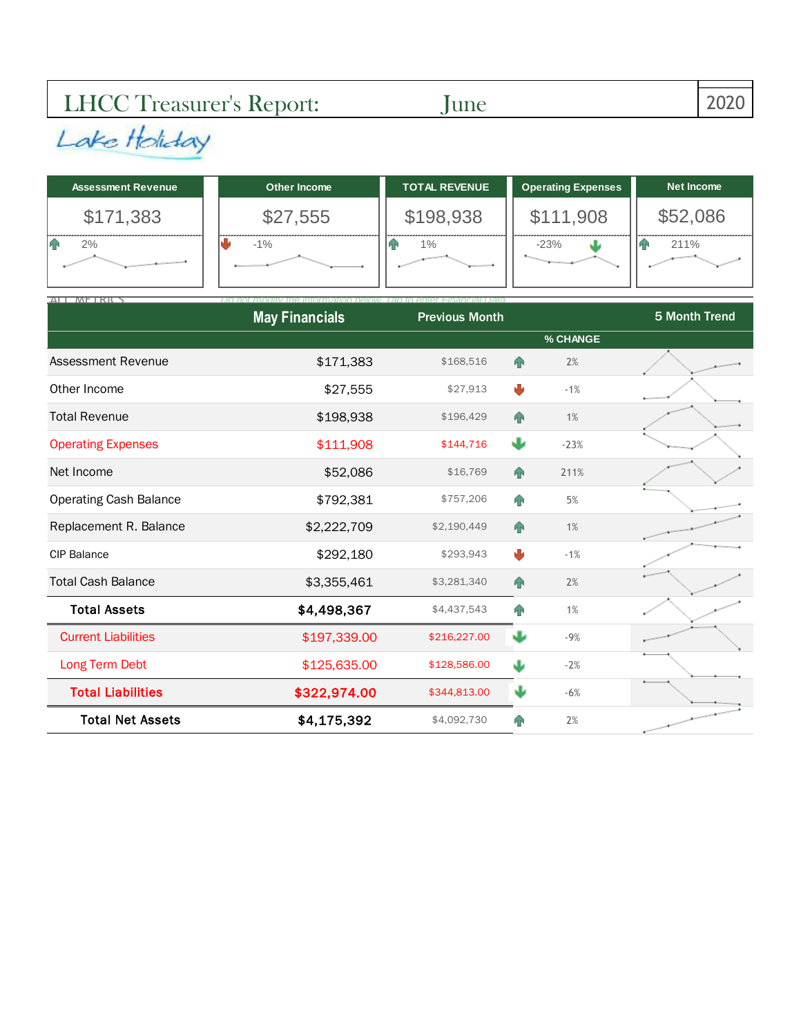## LHCC Treasurer's Report: June 2020

| <b>Assessment Revenue</b> | Other Income | <b>TOTAL REVENUE</b> | <b>Operating Expenses</b> | Net Income |
|---------------------------|--------------|----------------------|---------------------------|------------|
| \$171,383                 | \$27,555     | \$198,938            | \$111,908                 | \$52,086   |
| 2%                        | $-1\%$       | $1\%$                | $-23%$                    | 211%       |
|                           |              |                      |                           |            |

| ATIMFIRI                      | Do not modity<br>the intormation helow. Tan to enter Financial Data |                       |            |          |               |
|-------------------------------|---------------------------------------------------------------------|-----------------------|------------|----------|---------------|
|                               | <b>May Financials</b>                                               | <b>Previous Month</b> |            |          | 5 Month Trend |
|                               |                                                                     |                       |            | % CHANGE |               |
| Assessment Revenue            | \$171,383                                                           | \$168,516             | 个          | 2%       |               |
| Other Income                  | \$27,555                                                            | \$27,913              | ₩          | $-1%$    |               |
| <b>Total Revenue</b>          | \$198,938                                                           | \$196,429             | <b>Tr</b>  | 1%       |               |
| <b>Operating Expenses</b>     | \$111,908                                                           | \$144,716             | Ψ          | $-23%$   |               |
| Net Income                    | \$52,086                                                            | \$16,769              | 个          | 211%     |               |
| <b>Operating Cash Balance</b> | \$792,381                                                           | \$757,206             | <b>FIR</b> | 5%       |               |
| Replacement R. Balance        | \$2,222,709                                                         | \$2,190,449           | <b>AP</b>  | 1%       |               |
| <b>CIP Balance</b>            | \$292,180                                                           | \$293,943             | ₩          | $-1%$    |               |
| <b>Total Cash Balance</b>     | \$3,355,461                                                         | \$3,281,340           | 个          | 2%       |               |
| <b>Total Assets</b>           | \$4,498,367                                                         | \$4,437,543           | <b>FIR</b> | 1%       |               |
| <b>Current Liabilities</b>    | \$197,339.00                                                        | \$216,227.00          | J          | $-9%$    |               |
| Long Term Debt                | \$125,635.00                                                        | \$128,586.00          | J          | $-2%$    |               |
| <b>Total Liabilities</b>      | \$322,974.00                                                        | \$344,813.00          | J۶         | $-6%$    |               |
| <b>Total Net Assets</b>       | \$4,175,392                                                         | \$4,092,730           | ЯŔ         | 2%       |               |